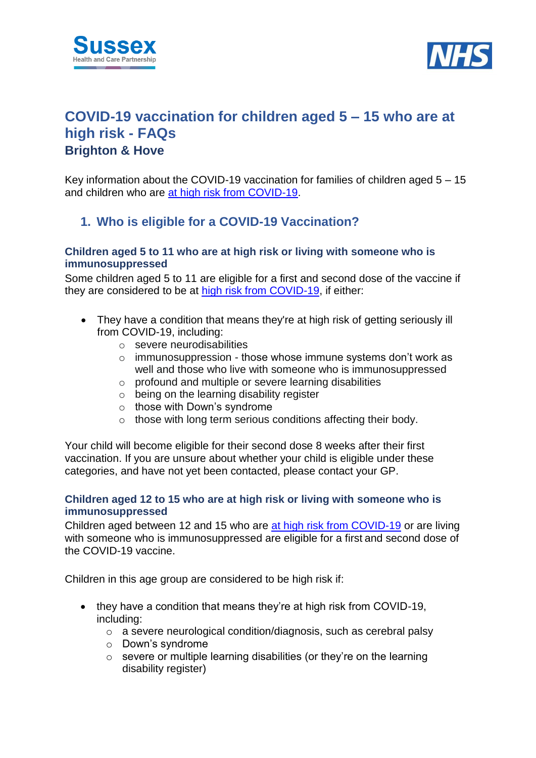



# **COVID-19 vaccination for children aged 5 – 15 who are at high risk - FAQs Brighton & Hove**

Key information about the COVID-19 vaccination for families of children aged  $5 - 15$ and children who are [at high risk from COVID-19.](https://www.nhs.uk/conditions/coronavirus-covid-19/people-at-higher-risk/who-is-at-high-risk-from-coronavirus/)

### **1. Who is eligible for a COVID-19 Vaccination?**

#### **Children aged 5 to 11 who are at high risk or living with someone who is immunosuppressed**

Some children aged 5 to 11 are eligible for a first and second dose of the vaccine if they are considered to be at [high risk from COVID-19,](https://www.gov.uk/government/publications/covid-19-vaccination-resources-for-children-aged-5-to-11-years/a-guide-for-parents-of-children-aged-5-to-11-years-of-age-at-high-risk) if either:

- They have a condition that means they're at high risk of getting seriously ill from COVID-19, including:
	- o severe neurodisabilities
	- o immunosuppression those whose immune systems don't work as well and those who live with someone who is immunosuppressed
	- o profound and multiple or severe learning disabilities
	- o being on the learning disability register
	- o those with Down's syndrome
	- o those with long term serious conditions affecting their body.

Your child will become eligible for their second dose 8 weeks after their first vaccination. If you are unsure about whether your child is eligible under these categories, and have not yet been contacted, please contact your GP.

#### **Children aged 12 to 15 who are at high risk or living with someone who is immunosuppressed**

Children aged between 12 and 15 who are [at high risk from COVID-19](https://www.nhs.uk/conditions/coronavirus-covid-19/people-at-higher-risk/who-is-at-high-risk-from-coronavirus/) or are living with someone who is immunosuppressed are eligible for a first and second dose of the COVID-19 vaccine.

Children in this age group are considered to be high risk if:

- they have a condition that means they're at high risk from COVID-19, including:
	- o a severe neurological condition/diagnosis, such as cerebral palsy
	- o Down's syndrome
	- $\circ$  severe or multiple learning disabilities (or they're on the learning disability register)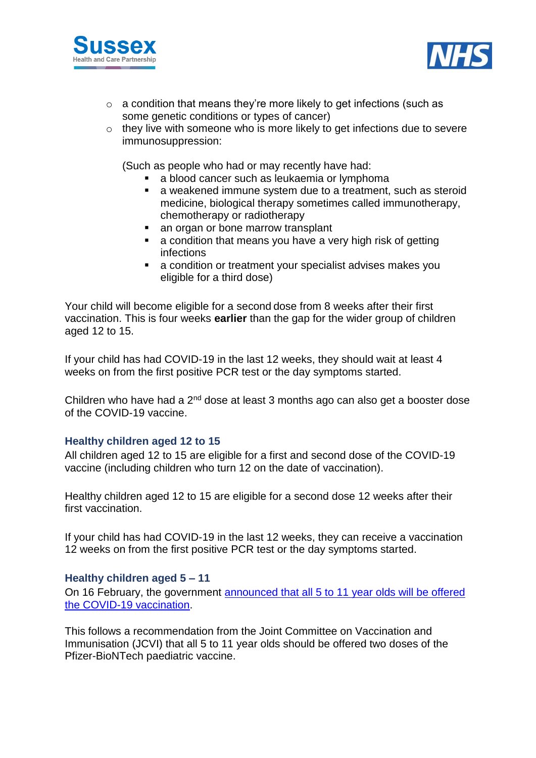



- $\circ$  a condition that means they're more likely to get infections (such as some genetic conditions or types of cancer)
- o they live with someone who is more likely to get infections due to severe immunosuppression:

(Such as people who had or may recently have had:

- a blood cancer such as leukaemia or lymphoma
- **a** a weakened immune system due to a treatment, such as steroid medicine, biological therapy sometimes called immunotherapy, chemotherapy or radiotherapy
- an organ or bone marrow transplant
- **a** condition that means you have a very high risk of getting infections
- a condition or treatment your specialist advises makes you eligible for a third dose)

Your child will become eligible for a second dose from 8 weeks after their first vaccination. This is four weeks **earlier** than the gap for the wider group of children aged 12 to 15.

If your child has had COVID-19 in the last 12 weeks, they should wait at least 4 weeks on from the first positive PCR test or the day symptoms started.

Children who have had a 2<sup>nd</sup> dose at least 3 months ago can also get a booster dose of the COVID-19 vaccine.

#### **Healthy children aged 12 to 15**

All children aged 12 to 15 are eligible for a first and second dose of the COVID-19 vaccine (including children who turn 12 on the date of vaccination).

Healthy children aged 12 to 15 are eligible for a second dose 12 weeks after their first vaccination.

If your child has had COVID-19 in the last 12 weeks, they can receive a vaccination 12 weeks on from the first positive PCR test or the day symptoms started.

#### **Healthy children aged 5 – 11**

On 16 February, the government [announced that all 5 to 11 year olds will be offered](https://www.gov.uk/government/news/jcvi-updates-advice-on-vaccinations-for-5-to-11-age-group)  [the COVID-19 vaccination.](https://www.gov.uk/government/news/jcvi-updates-advice-on-vaccinations-for-5-to-11-age-group)

This follows a recommendation from the Joint Committee on Vaccination and Immunisation (JCVI) that all 5 to 11 year olds should be offered two doses of the Pfizer-BioNTech paediatric vaccine.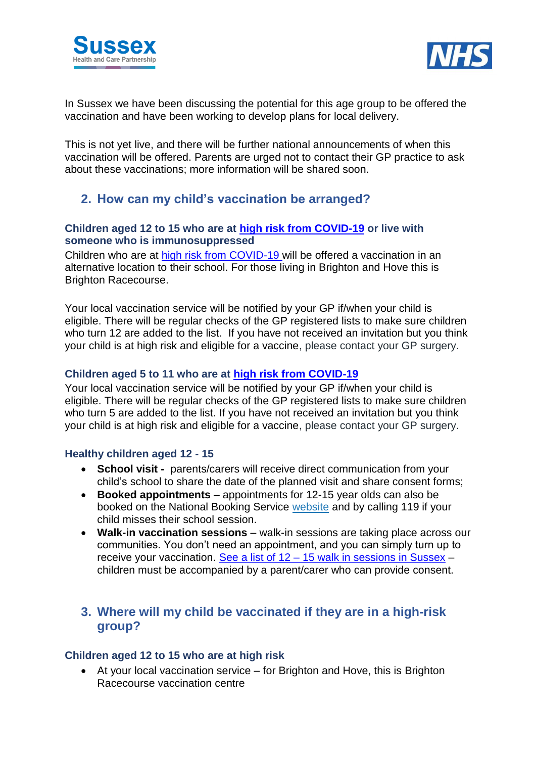



In Sussex we have been discussing the potential for this age group to be offered the vaccination and have been working to develop plans for local delivery.

This is not yet live, and there will be further national announcements of when this vaccination will be offered. Parents are urged not to contact their GP practice to ask about these vaccinations; more information will be shared soon.

### **2. How can my child's vaccination be arranged?**

#### **Children aged 12 to 15 who are at [high risk from COVID-19](https://www.gov.uk/government/publications/covid-19-vaccination-resources-for-children-aged-5-to-11-years/a-guide-for-parents-of-children-aged-5-to-11-years-of-age-at-high-risk) or live with someone who is immunosuppressed**

Children who are at [high risk from COVID-19](https://www.gov.uk/government/publications/covid-19-vaccination-resources-for-children-aged-5-to-11-years/a-guide-for-parents-of-children-aged-5-to-11-years-of-age-at-high-risk) will be offered a vaccination in an alternative location to their school. For those living in Brighton and Hove this is Brighton Racecourse.

Your local vaccination service will be notified by your GP if/when your child is eligible. There will be regular checks of the GP registered lists to make sure children who turn 12 are added to the list. If you have not received an invitation but you think your child is at high risk and eligible for a vaccine, please contact your GP surgery.

### **Children aged 5 to 11 who are at [high risk from COVID-19](https://www.gov.uk/government/publications/covid-19-vaccination-resources-for-children-aged-5-to-11-years/a-guide-for-parents-of-children-aged-5-to-11-years-of-age-at-high-risk)**

Your local vaccination service will be notified by your GP if/when your child is eligible. There will be regular checks of the GP registered lists to make sure children who turn 5 are added to the list. If you have not received an invitation but you think your child is at high risk and eligible for a vaccine, please contact your GP surgery.

#### **Healthy children aged 12 - 15**

- **School visit -** parents/carers will receive direct communication from your child's school to share the date of the planned visit and share consent forms;
- **Booked appointments** appointments for 12-15 year olds can also be booked on the National Booking Service [website](https://www.nhs.uk/conditions/coronavirus-covid-19/coronavirus-vaccination/book-coronavirus-vaccination/) and by calling 119 if your child misses their school session.
- **Walk-in vaccination sessions** walk-in sessions are taking place across our communities. You don't need an appointment, and you can simply turn up to receive your vaccination. See a list of 12 – [15 walk in sessions in Sussex](https://www.sussexhealthandcare.uk/keepsussexsafe/covid-19-vaccinations/where-can-i-get-my-covid-19-vaccination/walk-in-vaccination-sessions-for-12-15-year-olds/) – children must be accompanied by a parent/carer who can provide consent.

### **3. Where will my child be vaccinated if they are in a high-risk group?**

#### **Children aged 12 to 15 who are at high risk**

 At your local vaccination service – for Brighton and Hove, this is Brighton Racecourse vaccination centre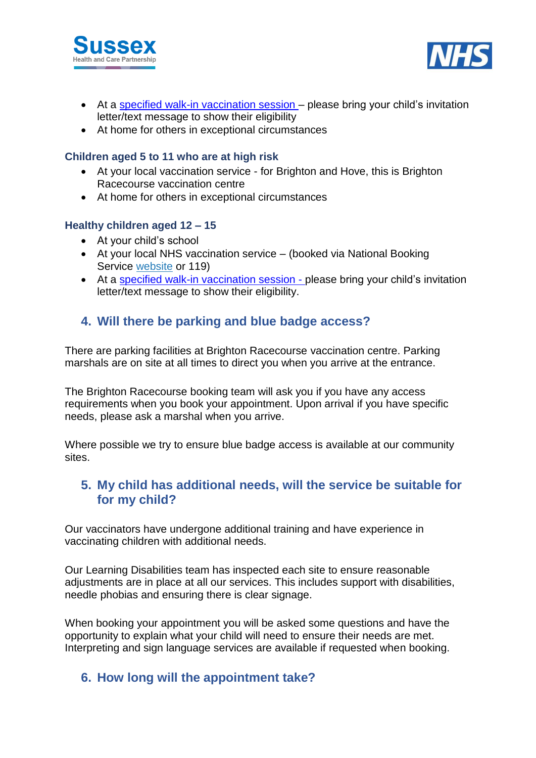



- At a [specified walk-in vaccination session](https://www.sussexhealthandcare.uk/keepsussexsafe/covid-19-vaccinations/where-can-i-get-my-covid-19-vaccination/walk-in-vaccination-sessions-for-12-15-year-olds/) please bring your child's invitation letter/text message to show their eligibility
- At home for others in exceptional circumstances

#### **Children aged 5 to 11 who are at high risk**

- At your local vaccination service for Brighton and Hove, this is Brighton Racecourse vaccination centre
- At home for others in exceptional circumstances

#### **Healthy children aged 12 – 15**

- At your child's school
- At your local NHS vaccination service (booked via National Booking Service [website](https://www.nhs.uk/conditions/coronavirus-covid-19/coronavirus-vaccination/book-coronavirus-vaccination/) or 119)
- At a [specified walk-in vaccination session](https://www.sussexhealthandcare.uk/keepsussexsafe/covid-19-vaccinations/where-can-i-get-my-covid-19-vaccination/walk-in-vaccination-sessions-for-12-15-year-olds/) please bring your child's invitation letter/text message to show their eligibility.

### **4. Will there be parking and blue badge access?**

There are parking facilities at Brighton Racecourse vaccination centre. Parking marshals are on site at all times to direct you when you arrive at the entrance.

The Brighton Racecourse booking team will ask you if you have any access requirements when you book your appointment. Upon arrival if you have specific needs, please ask a marshal when you arrive.

Where possible we try to ensure blue badge access is available at our community sites.

### **5. My child has additional needs, will the service be suitable for for my child?**

Our vaccinators have undergone additional training and have experience in vaccinating children with additional needs.

Our Learning Disabilities team has inspected each site to ensure reasonable adjustments are in place at all our services. This includes support with disabilities, needle phobias and ensuring there is clear signage.

When booking your appointment you will be asked some questions and have the opportunity to explain what your child will need to ensure their needs are met. Interpreting and sign language services are available if requested when booking.

### **6. How long will the appointment take?**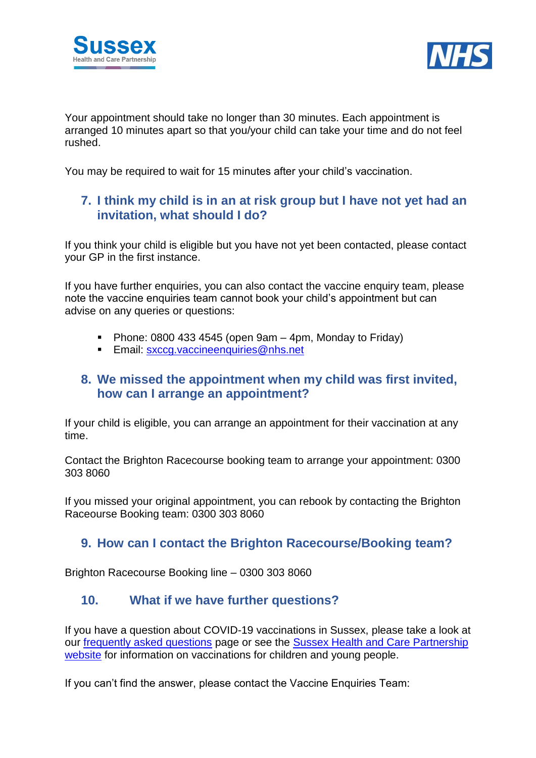



Your appointment should take no longer than 30 minutes. Each appointment is arranged 10 minutes apart so that you/your child can take your time and do not feel rushed.

You may be required to wait for 15 minutes after your child's vaccination.

### **7. I think my child is in an at risk group but I have not yet had an invitation, what should I do?**

If you think your child is eligible but you have not yet been contacted, please contact your GP in the first instance.

If you have further enquiries, you can also contact the vaccine enquiry team, please note the vaccine enquiries team cannot book your child's appointment but can advise on any queries or questions:

- Phone:  $0800$  433 4545 (open 9am 4pm, Monday to Friday)
- **Email: [sxccg.vaccineenquiries@nhs.net](mailto:sxccg.vaccineenquiries@nhs.net)**

### **8. We missed the appointment when my child was first invited, how can I arrange an appointment?**

If your child is eligible, you can arrange an appointment for their vaccination at any time.

Contact the Brighton Racecourse booking team to arrange your appointment: 0300 303 8060

If you missed your original appointment, you can rebook by contacting the Brighton Raceourse Booking team: 0300 303 8060

### **9. How can I contact the Brighton Racecourse/Booking team?**

Brighton Racecourse Booking line – 0300 303 8060

### **10. What if we have further questions?**

If you have a question about COVID-19 vaccinations in Sussex, please take a look at our [frequently asked questions](https://www.sussexhealthandcare.uk/keepsussexsafe/sussex-covid-19-vaccination-programme/faqs-about-the-covid-19-vaccine/) page or see the Sussex Health and Care Partnership [website](https://www.sussexhealthandcare.uk/keepsussexsafe/covid-19-vaccinations/what-covid-19-vaccinations-can-i-have/vaccinations-children-and-young-people-under-18/) for information on vaccinations for children and young people.

If you can't find the answer, please contact the Vaccine Enquiries Team: